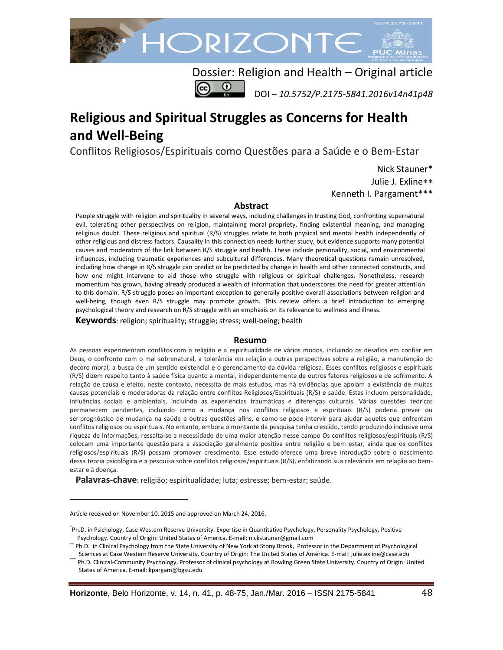

Dossier: Religion and Health – Original article DOI – *10.5752/P.2175-5841.2016v14n41p48*

# **Religious and Spiritual Struggles as Concerns for Health and Well-Being**

Conflitos Religiosos/Espirituais como Questões para a Saúde e o Bem-Estar

Nick Stauner\* Julie J. Exline Kenneth I. Pargament\*\*\*

#### **Abstract**

People struggle with religion and spirituality in several ways, including challenges in trusting God, confronting supernatural evil, tolerating other perspectives on religion, maintaining moral propriety, finding existential meaning, and managing religious doubt. These religious and spiritual (R/S) struggles relate to both physical and mental health independently of other religious and distress factors. Causality in this connection needs further study, but evidence supports many potential causes and moderators of the link between R/S struggle and health. These include personality, social, and environmental influences, including traumatic experiences and subcultural differences. Many theoretical questions remain unresolved, including how change in R/S struggle can predict or be predicted by change in health and other connected constructs, and how one might intervene to aid those who struggle with religious or spiritual challenges. Nonetheless, research momentum has grown, having already produced a wealth of information that underscores the need for greater attention to this domain. R/S struggle poses an important exception to generally positive overall associations between religion and well-being, though even R/S struggle may promote growth. This review offers a brief introduction to emerging psychological theory and research on R/S struggle with an emphasis on its relevance to wellness and illness.

**Keywords**: religion; spirituality; struggle; stress; well-being; health

#### **Resumo**

As pessoas experimentam conflitos com a religião e a espiritualidade de vários modos, incluindo os desafios em confiar em Deus, o confronto com o mal sobrenatural, a tolerância em relação a outras perspectivas sobre a religião, a manutenção do decoro moral, a busca de um sentido existencial e o gerenciamento da dúvida religiosa. Esses conflitos religiosos e espirituais (R/S) dizem respeito tanto à saúde física quanto a mental, independentemente de outros fatores religiosos e de sofrimento. A relação de causa e efeito, neste contexto, necessita de mais estudos, mas há evidências que apoiam a existência de muitas causas potenciais e moderadoras da relação entre conflitos Religiosos/Espirituais (R/S) e saúde. Estas incluem personalidade, influências sociais e ambientais, incluindo as experiências traumáticas e diferenças culturais. Várias questões teóricas permanecem pendentes, incluindo como a mudança nos conflitos religiosos e espirituais (R/S) poderia prever ou ser prognóstico de mudança na saúde e outras questões afins, e como se pode intervir para ajudar aqueles que enfrentam conflitos religiosos ou espirituais. No entanto, embora o montante da pesquisa tenha crescido, tendo produzindo inclusive uma riqueza de informações, ressalta-se a necessidade de uma maior atenção nesse campo Os conflitos religiosos/espirituais (R/S) colocam uma importante questão para a associação geralmente positiva entre religião e bem estar, ainda que os conflitos religiosos/espirituais (R/S) possam promover crescimento. Esse estudo oferece uma breve introdução sobre o nascimento dessa teoria psicológica e a pesquisa sobre conflitos religiosos/espirituais (R/S), enfatizando sua relevância em relação ao bemestar e à doença.

**Palavras-chave**: religião; espiritualidade; luta; estresse; bem-estar; saúde.

 $\overline{a}$ 

Article received on November 10, 2015 and approved on March 24, 2016.

<sup>\*</sup> Ph.D. in Psichology, Case Western Reserve University. Expertise in Quantitative Psychology, Personality Psychology, Positive Psychology. Country of Origin: United States of America. E-mail: nickstauner@gmail.com

<sup>\*\*</sup> Ph.D. in Clinical Psychology from the State University of New York at Stony Brook, Professor in the Department of Psychological Sciences at Case Western Reserve University. Country of Origin: The United States of América. E-mail: julie.exline@case.edu

Ph.D. Clinical-Community Psychology, Professor of clinical psychology at Bowling Green State University. Country of Origin: United States of America. E-mail: [kpargam@bgsu.edu](mailto:kpargam@bgsu.edu)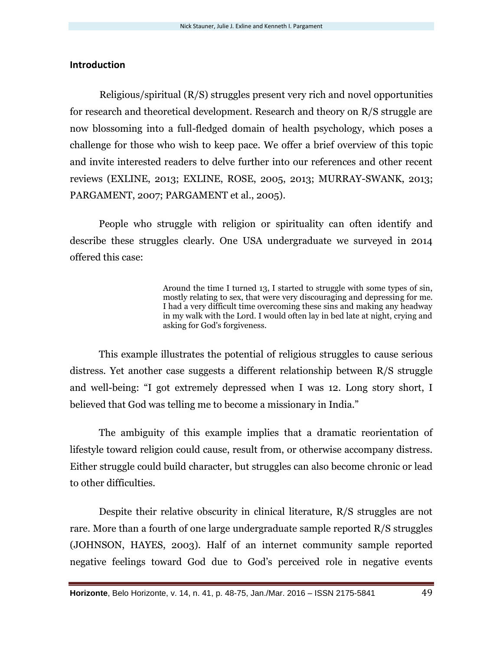# **Introduction**

Religious/spiritual (R/S) struggles present very rich and novel opportunities for research and theoretical development. Research and theory on R/S struggle are now blossoming into a full-fledged domain of health psychology, which poses a challenge for those who wish to keep pace. We offer a brief overview of this topic and invite interested readers to delve further into our references and other recent reviews (EXLINE, 2013; EXLINE, ROSE, 2005, 2013; MURRAY-SWANK, 2013; PARGAMENT, 2007; PARGAMENT et al., 2005).

People who struggle with religion or spirituality can often identify and describe these struggles clearly. One USA undergraduate we surveyed in 2014 offered this case:

> Around the time I turned 13, I started to struggle with some types of sin, mostly relating to sex, that were very discouraging and depressing for me. I had a very difficult time overcoming these sins and making any headway in my walk with the Lord. I would often lay in bed late at night, crying and asking for God's forgiveness.

This example illustrates the potential of religious struggles to cause serious distress. Yet another case suggests a different relationship between R/S struggle and well-being: "I got extremely depressed when I was 12. Long story short, I believed that God was telling me to become a missionary in India."

The ambiguity of this example implies that a dramatic reorientation of lifestyle toward religion could cause, result from, or otherwise accompany distress. Either struggle could build character, but struggles can also become chronic or lead to other difficulties.

Despite their relative obscurity in clinical literature, R/S struggles are not rare. More than a fourth of one large undergraduate sample reported R/S struggles (JOHNSON, HAYES, 2003). Half of an internet community sample reported negative feelings toward God due to God's perceived role in negative events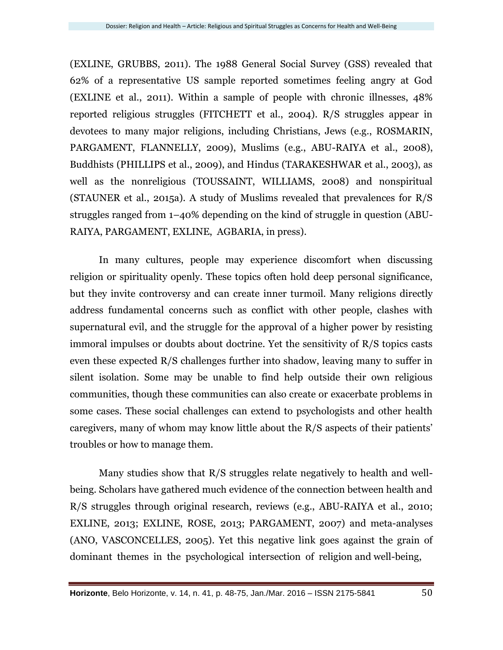(EXLINE, GRUBBS, 2011). The 1988 General Social Survey (GSS) revealed that 62% of a representative US sample reported sometimes feeling angry at God (EXLINE et al., 2011). Within a sample of people with chronic illnesses, 48% reported religious struggles (FITCHETT et al., 2004). R/S struggles appear in devotees to many major religions, including Christians, Jews (e.g., ROSMARIN, PARGAMENT, FLANNELLY, 2009), Muslims (e.g., ABU-RAIYA et al., 2008), Buddhists (PHILLIPS et al., 2009), and Hindus (TARAKESHWAR et al., 2003), as well as the nonreligious (TOUSSAINT, WILLIAMS, 2008) and nonspiritual (STAUNER et al., 2015a). A study of Muslims revealed that prevalences for R/S struggles ranged from 1–40% depending on the kind of struggle in question (ABU-RAIYA, PARGAMENT, EXLINE, AGBARIA, in press).

In many cultures, people may experience discomfort when discussing religion or spirituality openly. These topics often hold deep personal significance, but they invite controversy and can create inner turmoil. Many religions directly address fundamental concerns such as conflict with other people, clashes with supernatural evil, and the struggle for the approval of a higher power by resisting immoral impulses or doubts about doctrine. Yet the sensitivity of R/S topics casts even these expected R/S challenges further into shadow, leaving many to suffer in silent isolation. Some may be unable to find help outside their own religious communities, though these communities can also create or exacerbate problems in some cases. These social challenges can extend to psychologists and other health caregivers, many of whom may know little about the R/S aspects of their patients' troubles or how to manage them.

Many studies show that R/S struggles relate negatively to health and wellbeing. Scholars have gathered much evidence of the connection between health and R/S struggles through original research, reviews (e.g., ABU-RAIYA et al., 2010; EXLINE, 2013; EXLINE, ROSE, 2013; PARGAMENT, 2007) and meta-analyses (ANO, VASCONCELLES, 2005). Yet this negative link goes against the grain of dominant themes in the psychological intersection of religion and well-being,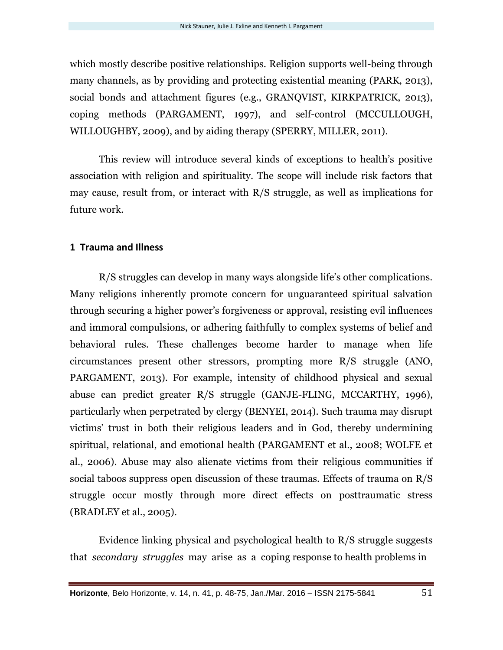which mostly describe positive relationships. Religion supports well-being through many channels, as by providing and protecting existential meaning (PARK, 2013), social bonds and attachment figures (e.g., GRANQVIST, KIRKPATRICK, 2013), coping methods (PARGAMENT, 1997), and self-control (MCCULLOUGH, WILLOUGHBY, 2009), and by aiding therapy (SPERRY, MILLER, 2011).

This review will introduce several kinds of exceptions to health's positive association with religion and spirituality. The scope will include risk factors that may cause, result from, or interact with R/S struggle, as well as implications for future work.

#### **1 Trauma and Illness**

R/S struggles can develop in many ways alongside life's other complications. Many religions inherently promote concern for unguaranteed spiritual salvation through securing a higher power's forgiveness or approval, resisting evil influences and immoral compulsions, or adhering faithfully to complex systems of belief and behavioral rules. These challenges become harder to manage when life circumstances present other stressors, prompting more R/S struggle (ANO, PARGAMENT, 2013). For example, intensity of childhood physical and sexual abuse can predict greater R/S struggle (GANJE-FLING, MCCARTHY, 1996), particularly when perpetrated by clergy (BENYEI, 2014). Such trauma may disrupt victims' trust in both their religious leaders and in God, thereby undermining spiritual, relational, and emotional health (PARGAMENT et al., 2008; WOLFE et al., 2006). Abuse may also alienate victims from their religious communities if social taboos suppress open discussion of these traumas. Effects of trauma on R/S struggle occur mostly through more direct effects on posttraumatic stress (BRADLEY et al., 2005).

Evidence linking physical and psychological health to R/S struggle suggests that *secondary struggles* may arise as a coping response to health problems in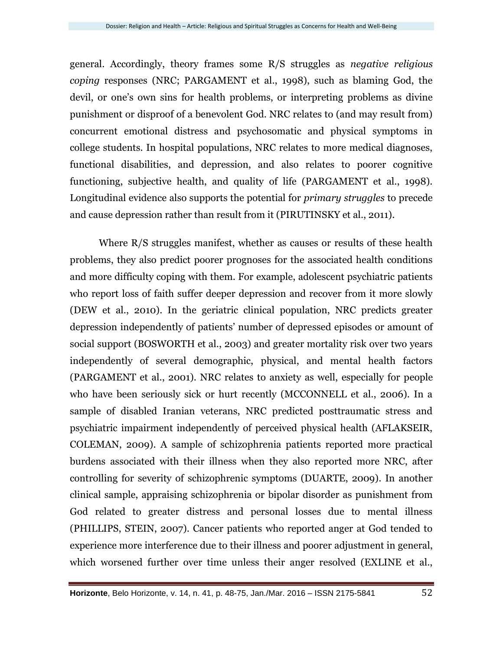general. Accordingly, theory frames some R/S struggles as *negative religious coping* responses (NRC; PARGAMENT et al., 1998), such as blaming God, the devil, or one's own sins for health problems, or interpreting problems as divine punishment or disproof of a benevolent God. NRC relates to (and may result from) concurrent emotional distress and psychosomatic and physical symptoms in college students. In hospital populations, NRC relates to more medical diagnoses, functional disabilities, and depression, and also relates to poorer cognitive functioning, subjective health, and quality of life (PARGAMENT et al., 1998). Longitudinal evidence also supports the potential for *primary struggles* to precede and cause depression rather than result from it (PIRUTINSKY et al., 2011).

Where R/S struggles manifest, whether as causes or results of these health problems, they also predict poorer prognoses for the associated health conditions and more difficulty coping with them. For example, adolescent psychiatric patients who report loss of faith suffer deeper depression and recover from it more slowly (DEW et al., 2010). In the geriatric clinical population, NRC predicts greater depression independently of patients' number of depressed episodes or amount of social support (BOSWORTH et al., 2003) and greater mortality risk over two years independently of several demographic, physical, and mental health factors (PARGAMENT et al., 2001). NRC relates to anxiety as well, especially for people who have been seriously sick or hurt recently (MCCONNELL et al., 2006). In a sample of disabled Iranian veterans, NRC predicted posttraumatic stress and psychiatric impairment independently of perceived physical health (AFLAKSEIR, COLEMAN, 2009). A sample of schizophrenia patients reported more practical burdens associated with their illness when they also reported more NRC, after controlling for severity of schizophrenic symptoms (DUARTE, 2009). In another clinical sample, appraising schizophrenia or bipolar disorder as punishment from God related to greater distress and personal losses due to mental illness (PHILLIPS, STEIN, 2007). Cancer patients who reported anger at God tended to experience more interference due to their illness and poorer adjustment in general, which worsened further over time unless their anger resolved (EXLINE et al.,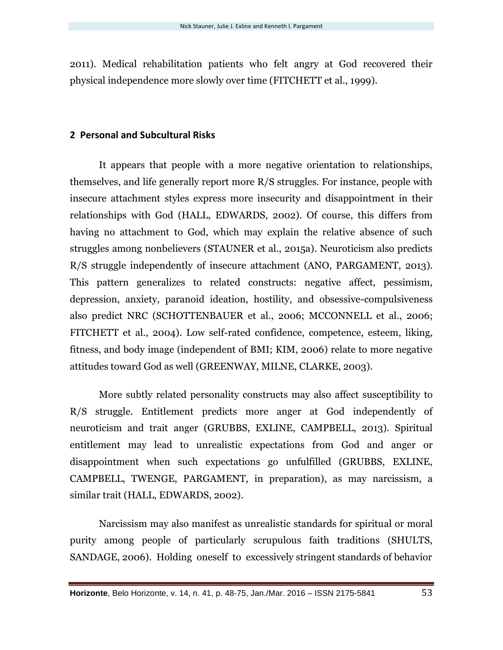2011). Medical rehabilitation patients who felt angry at God recovered their physical independence more slowly over time (FITCHETT et al., 1999).

## **2 Personal and Subcultural Risks**

It appears that people with a more negative orientation to relationships, themselves, and life generally report more R/S struggles. For instance, people with insecure attachment styles express more insecurity and disappointment in their relationships with God (HALL, EDWARDS, 2002). Of course, this differs from having no attachment to God, which may explain the relative absence of such struggles among nonbelievers (STAUNER et al., 2015a). Neuroticism also predicts R/S struggle independently of insecure attachment (ANO, PARGAMENT, 2013). This pattern generalizes to related constructs: negative affect, pessimism, depression, anxiety, paranoid ideation, hostility, and obsessive-compulsiveness also predict NRC (SCHOTTENBAUER et al., 2006; MCCONNELL et al., 2006; FITCHETT et al., 2004). Low self-rated confidence, competence, esteem, liking, fitness, and body image (independent of BMI; KIM, 2006) relate to more negative attitudes toward God as well (GREENWAY, MILNE, CLARKE, 2003).

More subtly related personality constructs may also affect susceptibility to R/S struggle. Entitlement predicts more anger at God independently of neuroticism and trait anger (GRUBBS, EXLINE, CAMPBELL, 2013). Spiritual entitlement may lead to unrealistic expectations from God and anger or disappointment when such expectations go unfulfilled (GRUBBS, EXLINE, CAMPBELL, TWENGE, PARGAMENT, in preparation), as may narcissism, a similar trait (HALL, EDWARDS, 2002).

Narcissism may also manifest as unrealistic standards for spiritual or moral purity among people of particularly scrupulous faith traditions (SHULTS, SANDAGE, 2006). Holding oneself to excessively stringent standards of behavior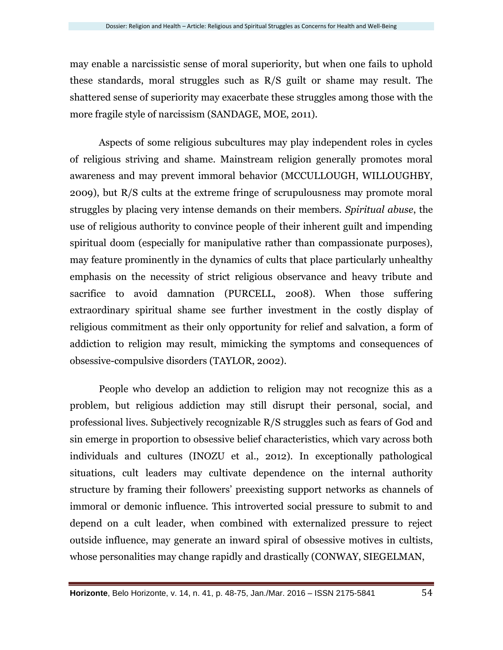may enable a narcissistic sense of moral superiority, but when one fails to uphold these standards, moral struggles such as R/S guilt or shame may result. The shattered sense of superiority may exacerbate these struggles among those with the more fragile style of narcissism (SANDAGE, MOE, 2011).

Aspects of some religious subcultures may play independent roles in cycles of religious striving and shame. Mainstream religion generally promotes moral awareness and may prevent immoral behavior (MCCULLOUGH, WILLOUGHBY, 2009), but R/S cults at the extreme fringe of scrupulousness may promote moral struggles by placing very intense demands on their members. *Spiritual abuse*, the use of religious authority to convince people of their inherent guilt and impending spiritual doom (especially for manipulative rather than compassionate purposes), may feature prominently in the dynamics of cults that place particularly unhealthy emphasis on the necessity of strict religious observance and heavy tribute and sacrifice to avoid damnation (PURCELL, 2008). When those suffering extraordinary spiritual shame see further investment in the costly display of religious commitment as their only opportunity for relief and salvation, a form of addiction to religion may result, mimicking the symptoms and consequences of obsessive-compulsive disorders (TAYLOR, 2002).

People who develop an addiction to religion may not recognize this as a problem, but religious addiction may still disrupt their personal, social, and professional lives. Subjectively recognizable R/S struggles such as fears of God and sin emerge in proportion to obsessive belief characteristics, which vary across both individuals and cultures (INOZU et al., 2012). In exceptionally pathological situations, cult leaders may cultivate dependence on the internal authority structure by framing their followers' preexisting support networks as channels of immoral or demonic influence. This introverted social pressure to submit to and depend on a cult leader, when combined with externalized pressure to reject outside influence, may generate an inward spiral of obsessive motives in cultists, whose personalities may change rapidly and drastically (CONWAY, SIEGELMAN,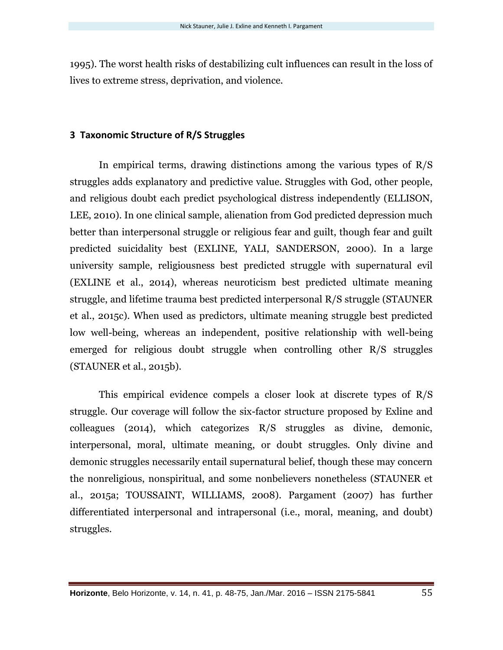1995). The worst health risks of destabilizing cult influences can result in the loss of lives to extreme stress, deprivation, and violence.

# **3 Taxonomic Structure of R/S Struggles**

In empirical terms, drawing distinctions among the various types of R/S struggles adds explanatory and predictive value. Struggles with God, other people, and religious doubt each predict psychological distress independently (ELLISON, LEE, 2010). In one clinical sample, alienation from God predicted depression much better than interpersonal struggle or religious fear and guilt, though fear and guilt predicted suicidality best (EXLINE, YALI, SANDERSON, 2000). In a large university sample, religiousness best predicted struggle with supernatural evil (EXLINE et al., 2014), whereas neuroticism best predicted ultimate meaning struggle, and lifetime trauma best predicted interpersonal R/S struggle (STAUNER et al., 2015c). When used as predictors, ultimate meaning struggle best predicted low well-being, whereas an independent, positive relationship with well-being emerged for religious doubt struggle when controlling other R/S struggles (STAUNER et al., 2015b).

This empirical evidence compels a closer look at discrete types of R/S struggle. Our coverage will follow the six-factor structure proposed by Exline and colleagues (2014), which categorizes R/S struggles as divine, demonic, interpersonal, moral, ultimate meaning, or doubt struggles. Only divine and demonic struggles necessarily entail supernatural belief, though these may concern the nonreligious, nonspiritual, and some nonbelievers nonetheless (STAUNER et al., 2015a; TOUSSAINT, WILLIAMS, 2008). Pargament (2007) has further differentiated interpersonal and intrapersonal (i.e., moral, meaning, and doubt) struggles.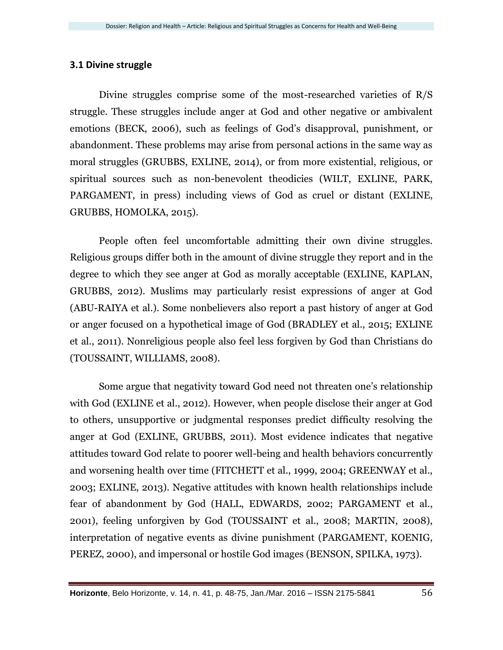# **3.1 Divine struggle**

Divine struggles comprise some of the most-researched varieties of R/S struggle. These struggles include anger at God and other negative or ambivalent emotions (BECK, 2006), such as feelings of God's disapproval, punishment, or abandonment. These problems may arise from personal actions in the same way as moral struggles (GRUBBS, EXLINE, 2014), or from more existential, religious, or spiritual sources such as non-benevolent theodicies (WILT, EXLINE, PARK, PARGAMENT, in press) including views of God as cruel or distant (EXLINE, GRUBBS, HOMOLKA, 2015).

People often feel uncomfortable admitting their own divine struggles. Religious groups differ both in the amount of divine struggle they report and in the degree to which they see anger at God as morally acceptable (EXLINE, KAPLAN, GRUBBS, 2012). Muslims may particularly resist expressions of anger at God (ABU-RAIYA et al.). Some nonbelievers also report a past history of anger at God or anger focused on a hypothetical image of God (BRADLEY et al., 2015; EXLINE et al., 2011). Nonreligious people also feel less forgiven by God than Christians do (TOUSSAINT, WILLIAMS, 2008).

Some argue that negativity toward God need not threaten one's relationship with God (EXLINE et al., 2012). However, when people disclose their anger at God to others, unsupportive or judgmental responses predict difficulty resolving the anger at God (EXLINE, GRUBBS, 2011). Most evidence indicates that negative attitudes toward God relate to poorer well-being and health behaviors concurrently and worsening health over time (FITCHETT et al., 1999, 2004; GREENWAY et al., 2003; EXLINE, 2013). Negative attitudes with known health relationships include fear of abandonment by God (HALL, EDWARDS, 2002; PARGAMENT et al., 2001), feeling unforgiven by God (TOUSSAINT et al., 2008; MARTIN, 2008), interpretation of negative events as divine punishment (PARGAMENT, KOENIG, PEREZ, 2000), and impersonal or hostile God images (BENSON, SPILKA, 1973).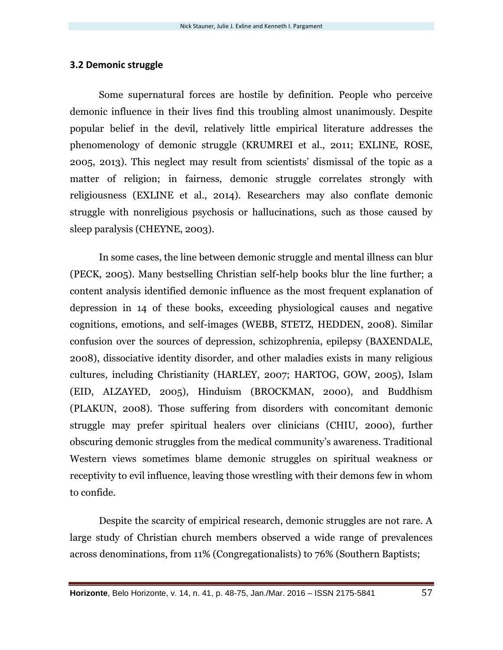### **3.2 Demonic struggle**

Some supernatural forces are hostile by definition. People who perceive demonic influence in their lives find this troubling almost unanimously. Despite popular belief in the devil, relatively little empirical literature addresses the phenomenology of demonic struggle (KRUMREI et al., 2011; EXLINE, ROSE, 2005, 2013). This neglect may result from scientists' dismissal of the topic as a matter of religion; in fairness, demonic struggle correlates strongly with religiousness (EXLINE et al., 2014). Researchers may also conflate demonic struggle with nonreligious psychosis or hallucinations, such as those caused by sleep paralysis (CHEYNE, 2003).

In some cases, the line between demonic struggle and mental illness can blur (PECK, 2005). Many bestselling Christian self-help books blur the line further; a content analysis identified demonic influence as the most frequent explanation of depression in 14 of these books, exceeding physiological causes and negative cognitions, emotions, and self-images (WEBB, STETZ, HEDDEN, 2008). Similar confusion over the sources of depression, schizophrenia, epilepsy (BAXENDALE, 2008), dissociative identity disorder, and other maladies exists in many religious cultures, including Christianity (HARLEY, 2007; HARTOG, GOW, 2005), Islam (EID, ALZAYED, 2005), Hinduism (BROCKMAN, 2000), and Buddhism (PLAKUN, 2008). Those suffering from disorders with concomitant demonic struggle may prefer spiritual healers over clinicians (CHIU, 2000), further obscuring demonic struggles from the medical community's awareness. Traditional Western views sometimes blame demonic struggles on spiritual weakness or receptivity to evil influence, leaving those wrestling with their demons few in whom to confide.

Despite the scarcity of empirical research, demonic struggles are not rare. A large study of Christian church members observed a wide range of prevalences across denominations, from 11% (Congregationalists) to 76% (Southern Baptists;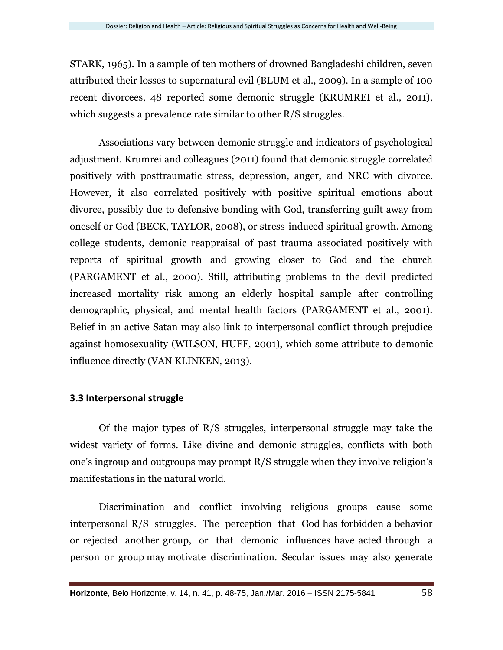STARK, 1965). In a sample of ten mothers of drowned Bangladeshi children, seven attributed their losses to supernatural evil (BLUM et al., 2009). In a sample of 100 recent divorcees, 48 reported some demonic struggle (KRUMREI et al., 2011), which suggests a prevalence rate similar to other R/S struggles.

Associations vary between demonic struggle and indicators of psychological adjustment. Krumrei and colleagues (2011) found that demonic struggle correlated positively with posttraumatic stress, depression, anger, and NRC with divorce. However, it also correlated positively with positive spiritual emotions about divorce, possibly due to defensive bonding with God, transferring guilt away from oneself or God (BECK, TAYLOR, 2008), or stress-induced spiritual growth. Among college students, demonic reappraisal of past trauma associated positively with reports of spiritual growth and growing closer to God and the church (PARGAMENT et al., 2000). Still, attributing problems to the devil predicted increased mortality risk among an elderly hospital sample after controlling demographic, physical, and mental health factors (PARGAMENT et al., 2001). Belief in an active Satan may also link to interpersonal conflict through prejudice against homosexuality (WILSON, HUFF, 2001), which some attribute to demonic influence directly (VAN KLINKEN, 2013).

# **3.3 Interpersonal struggle**

Of the major types of R/S struggles, interpersonal struggle may take the widest variety of forms. Like divine and demonic struggles, conflicts with both one's ingroup and outgroups may prompt R/S struggle when they involve religion's manifestations in the natural world.

Discrimination and conflict involving religious groups cause some interpersonal R/S struggles. The perception that God has forbidden a behavior or rejected another group, or that demonic influences have acted through a person or group may motivate discrimination. Secular issues may also generate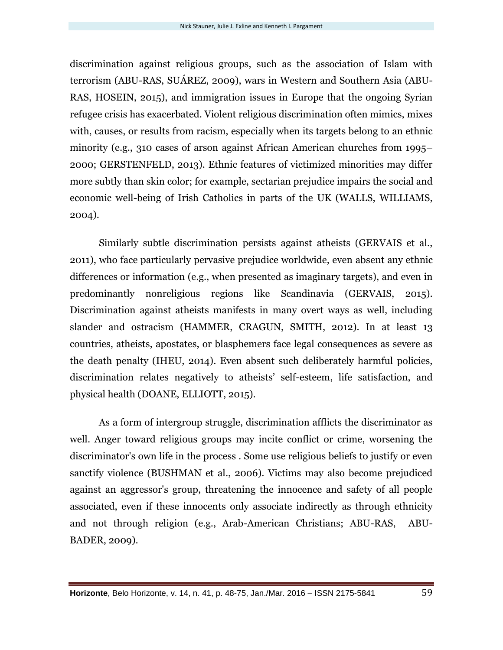discrimination against religious groups, such as the association of Islam with terrorism (ABU-RAS, SUÁREZ, 2009), wars in Western and Southern Asia (ABU-RAS, HOSEIN, 2015), and immigration issues in Europe that the ongoing Syrian refugee crisis has exacerbated. Violent religious discrimination often mimics, mixes with, causes, or results from racism, especially when its targets belong to an ethnic minority (e.g., 310 cases of arson against African American churches from 1995– 2000; GERSTENFELD, 2013). Ethnic features of victimized minorities may differ more subtly than skin color; for example, sectarian prejudice impairs the social and economic well-being of Irish Catholics in parts of the UK (WALLS, WILLIAMS, 2004).

Similarly subtle discrimination persists against atheists (GERVAIS et al., 2011), who face particularly pervasive prejudice worldwide, even absent any ethnic differences or information (e.g., when presented as imaginary targets), and even in predominantly nonreligious regions like Scandinavia (GERVAIS, 2015). Discrimination against atheists manifests in many overt ways as well, including slander and ostracism (HAMMER, CRAGUN, SMITH, 2012). In at least 13 countries, atheists, apostates, or blasphemers face legal consequences as severe as the death penalty (IHEU, 2014). Even absent such deliberately harmful policies, discrimination relates negatively to atheists' self-esteem, life satisfaction, and physical health (DOANE, ELLIOTT, 2015).

As a form of intergroup struggle, discrimination afflicts the discriminator as well. Anger toward religious groups may incite conflict or crime, worsening the discriminator's own life in the process . Some use religious beliefs to justify or even sanctify violence (BUSHMAN et al., 2006). Victims may also become prejudiced against an aggressor's group, threatening the innocence and safety of all people associated, even if these innocents only associate indirectly as through ethnicity and not through religion (e.g., Arab-American Christians; ABU-RAS, ABU-BADER, 2009).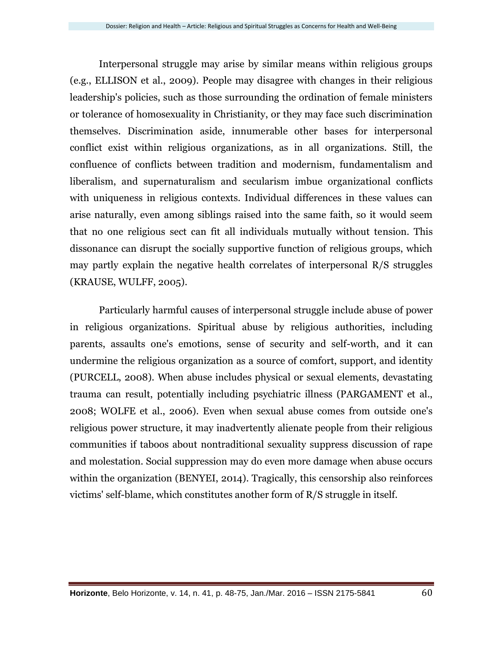Interpersonal struggle may arise by similar means within religious groups (e.g., ELLISON et al., 2009). People may disagree with changes in their religious leadership's policies, such as those surrounding the ordination of female ministers or tolerance of homosexuality in Christianity, or they may face such discrimination themselves. Discrimination aside, innumerable other bases for interpersonal conflict exist within religious organizations, as in all organizations. Still, the confluence of conflicts between tradition and modernism, fundamentalism and liberalism, and supernaturalism and secularism imbue organizational conflicts with uniqueness in religious contexts. Individual differences in these values can arise naturally, even among siblings raised into the same faith, so it would seem that no one religious sect can fit all individuals mutually without tension. This dissonance can disrupt the socially supportive function of religious groups, which may partly explain the negative health correlates of interpersonal R/S struggles (KRAUSE, WULFF, 2005).

Particularly harmful causes of interpersonal struggle include abuse of power in religious organizations. Spiritual abuse by religious authorities, including parents, assaults one's emotions, sense of security and self-worth, and it can undermine the religious organization as a source of comfort, support, and identity (PURCELL, 2008). When abuse includes physical or sexual elements, devastating trauma can result, potentially including psychiatric illness (PARGAMENT et al., 2008; WOLFE et al., 2006). Even when sexual abuse comes from outside one's religious power structure, it may inadvertently alienate people from their religious communities if taboos about nontraditional sexuality suppress discussion of rape and molestation. Social suppression may do even more damage when abuse occurs within the organization (BENYEI, 2014). Tragically, this censorship also reinforces victims' self-blame, which constitutes another form of R/S struggle in itself.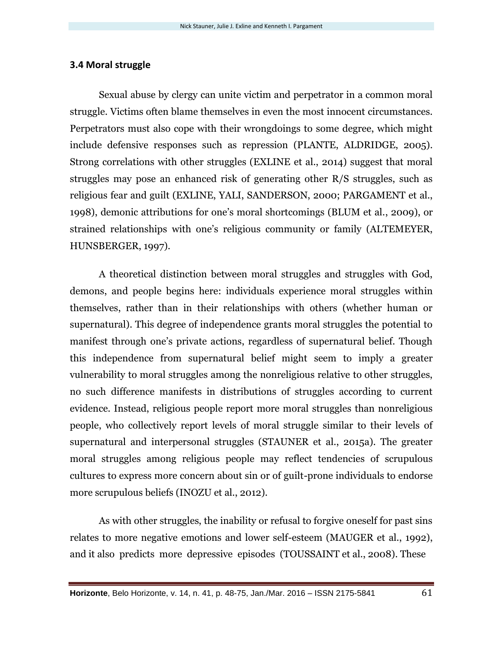### **3.4 Moral struggle**

Sexual abuse by clergy can unite victim and perpetrator in a common moral struggle. Victims often blame themselves in even the most innocent circumstances. Perpetrators must also cope with their wrongdoings to some degree, which might include defensive responses such as repression (PLANTE, ALDRIDGE, 2005). Strong correlations with other struggles (EXLINE et al., 2014) suggest that moral struggles may pose an enhanced risk of generating other R/S struggles, such as religious fear and guilt (EXLINE, YALI, SANDERSON, 2000; PARGAMENT et al., 1998), demonic attributions for one's moral shortcomings (BLUM et al., 2009), or strained relationships with one's religious community or family (ALTEMEYER, HUNSBERGER, 1997).

A theoretical distinction between moral struggles and struggles with God, demons, and people begins here: individuals experience moral struggles within themselves, rather than in their relationships with others (whether human or supernatural). This degree of independence grants moral struggles the potential to manifest through one's private actions, regardless of supernatural belief. Though this independence from supernatural belief might seem to imply a greater vulnerability to moral struggles among the nonreligious relative to other struggles, no such difference manifests in distributions of struggles according to current evidence. Instead, religious people report more moral struggles than nonreligious people, who collectively report levels of moral struggle similar to their levels of supernatural and interpersonal struggles (STAUNER et al., 2015a). The greater moral struggles among religious people may reflect tendencies of scrupulous cultures to express more concern about sin or of guilt-prone individuals to endorse more scrupulous beliefs (INOZU et al., 2012).

As with other struggles, the inability or refusal to forgive oneself for past sins relates to more negative emotions and lower self-esteem (MAUGER et al., 1992), and it also predicts more depressive episodes (TOUSSAINT et al., 2008). These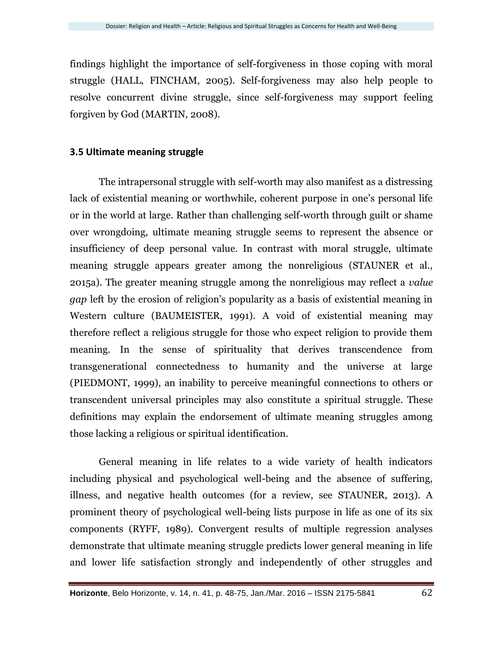findings highlight the importance of self-forgiveness in those coping with moral struggle (HALL, FINCHAM, 2005). Self-forgiveness may also help people to resolve concurrent divine struggle, since self-forgiveness may support feeling forgiven by God (MARTIN, 2008).

#### **3.5 Ultimate meaning struggle**

The intrapersonal struggle with self-worth may also manifest as a distressing lack of existential meaning or worthwhile, coherent purpose in one's personal life or in the world at large. Rather than challenging self-worth through guilt or shame over wrongdoing, ultimate meaning struggle seems to represent the absence or insufficiency of deep personal value. In contrast with moral struggle, ultimate meaning struggle appears greater among the nonreligious (STAUNER et al., 2015a). The greater meaning struggle among the nonreligious may reflect a *value gap* left by the erosion of religion's popularity as a basis of existential meaning in Western culture (BAUMEISTER, 1991). A void of existential meaning may therefore reflect a religious struggle for those who expect religion to provide them meaning. In the sense of spirituality that derives transcendence from transgenerational connectedness to humanity and the universe at large (PIEDMONT, 1999), an inability to perceive meaningful connections to others or transcendent universal principles may also constitute a spiritual struggle. These definitions may explain the endorsement of ultimate meaning struggles among those lacking a religious or spiritual identification.

General meaning in life relates to a wide variety of health indicators including physical and psychological well-being and the absence of suffering, illness, and negative health outcomes (for a review, see STAUNER, 2013). A prominent theory of psychological well-being lists purpose in life as one of its six components (RYFF, 1989). Convergent results of multiple regression analyses demonstrate that ultimate meaning struggle predicts lower general meaning in life and lower life satisfaction strongly and independently of other struggles and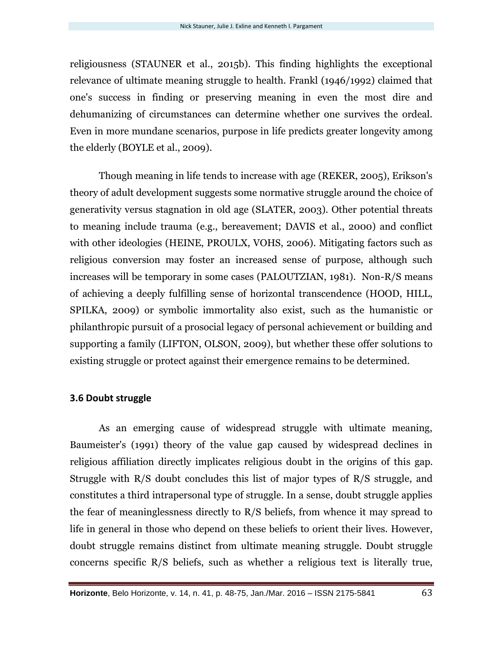religiousness (STAUNER et al., 2015b). This finding highlights the exceptional relevance of ultimate meaning struggle to health. Frankl (1946/1992) claimed that one's success in finding or preserving meaning in even the most dire and dehumanizing of circumstances can determine whether one survives the ordeal. Even in more mundane scenarios, purpose in life predicts greater longevity among the elderly (BOYLE et al., 2009).

Though meaning in life tends to increase with age (REKER, 2005), Erikson's theory of adult development suggests some normative struggle around the choice of generativity versus stagnation in old age (SLATER, 2003). Other potential threats to meaning include trauma (e.g., bereavement; DAVIS et al., 2000) and conflict with other ideologies (HEINE, PROULX, VOHS, 2006). Mitigating factors such as religious conversion may foster an increased sense of purpose, although such increases will be temporary in some cases (PALOUTZIAN, 1981). Non-R/S means of achieving a deeply fulfilling sense of horizontal transcendence (HOOD, HILL, SPILKA, 2009) or symbolic immortality also exist, such as the humanistic or philanthropic pursuit of a prosocial legacy of personal achievement or building and supporting a family (LIFTON, OLSON, 2009), but whether these offer solutions to existing struggle or protect against their emergence remains to be determined.

#### **3.6 Doubt struggle**

As an emerging cause of widespread struggle with ultimate meaning, Baumeister's (1991) theory of the value gap caused by widespread declines in religious affiliation directly implicates religious doubt in the origins of this gap. Struggle with R/S doubt concludes this list of major types of R/S struggle, and constitutes a third intrapersonal type of struggle. In a sense, doubt struggle applies the fear of meaninglessness directly to R/S beliefs, from whence it may spread to life in general in those who depend on these beliefs to orient their lives. However, doubt struggle remains distinct from ultimate meaning struggle. Doubt struggle concerns specific R/S beliefs, such as whether a religious text is literally true,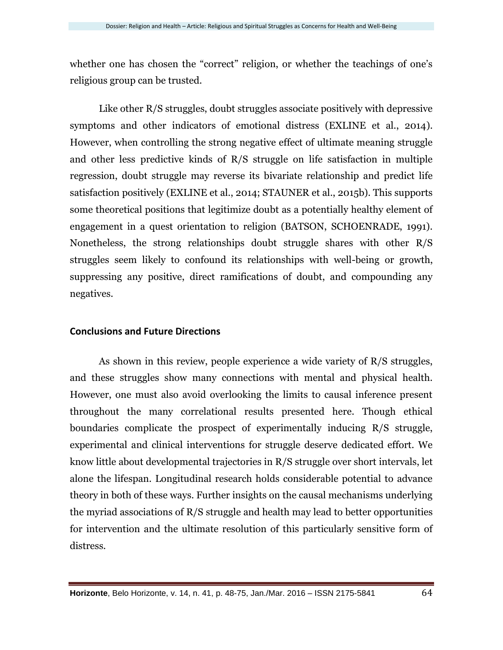whether one has chosen the "correct" religion, or whether the teachings of one's religious group can be trusted.

Like other R/S struggles, doubt struggles associate positively with depressive symptoms and other indicators of emotional distress (EXLINE et al., 2014). However, when controlling the strong negative effect of ultimate meaning struggle and other less predictive kinds of R/S struggle on life satisfaction in multiple regression, doubt struggle may reverse its bivariate relationship and predict life satisfaction positively (EXLINE et al., 2014; STAUNER et al., 2015b). This supports some theoretical positions that legitimize doubt as a potentially healthy element of engagement in a quest orientation to religion (BATSON, SCHOENRADE, 1991). Nonetheless, the strong relationships doubt struggle shares with other R/S struggles seem likely to confound its relationships with well-being or growth, suppressing any positive, direct ramifications of doubt, and compounding any negatives.

#### **Conclusions and Future Directions**

As shown in this review, people experience a wide variety of R/S struggles, and these struggles show many connections with mental and physical health. However, one must also avoid overlooking the limits to causal inference present throughout the many correlational results presented here. Though ethical boundaries complicate the prospect of experimentally inducing R/S struggle, experimental and clinical interventions for struggle deserve dedicated effort. We know little about developmental trajectories in R/S struggle over short intervals, let alone the lifespan. Longitudinal research holds considerable potential to advance theory in both of these ways. Further insights on the causal mechanisms underlying the myriad associations of R/S struggle and health may lead to better opportunities for intervention and the ultimate resolution of this particularly sensitive form of distress.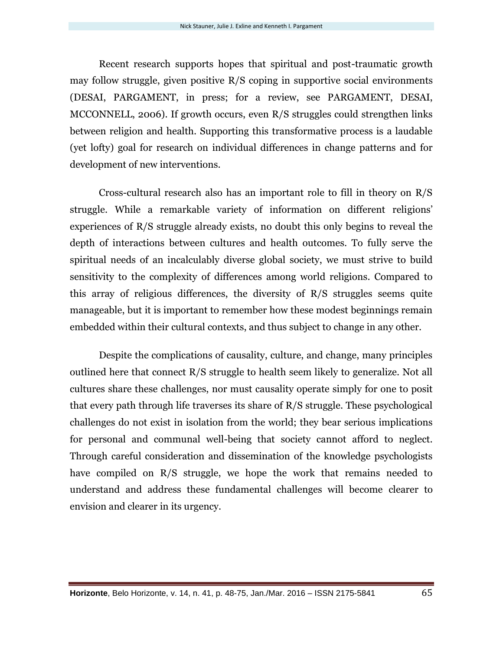Recent research supports hopes that spiritual and post-traumatic growth may follow struggle, given positive R/S coping in supportive social environments (DESAI, PARGAMENT, in press; for a review, see PARGAMENT, DESAI, MCCONNELL, 2006). If growth occurs, even R/S struggles could strengthen links between religion and health. Supporting this transformative process is a laudable (yet lofty) goal for research on individual differences in change patterns and for development of new interventions.

Cross-cultural research also has an important role to fill in theory on R/S struggle. While a remarkable variety of information on different religions' experiences of R/S struggle already exists, no doubt this only begins to reveal the depth of interactions between cultures and health outcomes. To fully serve the spiritual needs of an incalculably diverse global society, we must strive to build sensitivity to the complexity of differences among world religions. Compared to this array of religious differences, the diversity of R/S struggles seems quite manageable, but it is important to remember how these modest beginnings remain embedded within their cultural contexts, and thus subject to change in any other.

Despite the complications of causality, culture, and change, many principles outlined here that connect R/S struggle to health seem likely to generalize. Not all cultures share these challenges, nor must causality operate simply for one to posit that every path through life traverses its share of R/S struggle. These psychological challenges do not exist in isolation from the world; they bear serious implications for personal and communal well-being that society cannot afford to neglect. Through careful consideration and dissemination of the knowledge psychologists have compiled on R/S struggle, we hope the work that remains needed to understand and address these fundamental challenges will become clearer to envision and clearer in its urgency.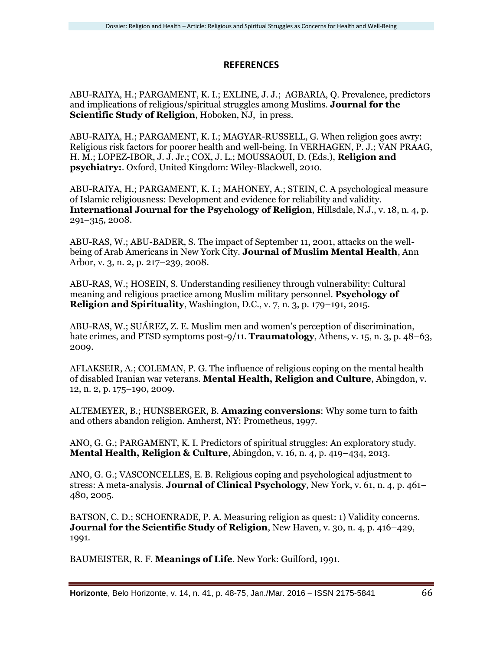# **REFERENCES**

ABU-RAIYA, H.; PARGAMENT, K. I.; EXLINE, J. J.; AGBARIA, Q. Prevalence, predictors and implications of religious/spiritual struggles among Muslims. **Journal for the Scientific Study of Religion**, Hoboken, NJ, in press.

ABU-RAIYA, H.; PARGAMENT, K. I.; MAGYAR-RUSSELL, G. When religion goes awry: Religious risk factors for poorer health and well-being. In VERHAGEN, P. J.; VAN PRAAG, H. M.; LOPEZ-IBOR, J. J. Jr.; COX, J. L.; MOUSSAOUI, D. (Eds.), **Religion and psychiatry:**. Oxford, United Kingdom: Wiley-Blackwell, 2010.

ABU-RAIYA, H.; PARGAMENT, K. I.; MAHONEY, A.; STEIN, C. A psychological measure of Islamic religiousness: Development and evidence for reliability and validity. **International Journal for the Psychology of Religion**, Hillsdale, N.J., v. 18, n. 4, p. 291–315, 2008.

ABU-RAS, W.; ABU-BADER, S. The impact of September 11, 2001, attacks on the wellbeing of Arab Americans in New York City. **Journal of Muslim Mental Health**, Ann Arbor, v. 3, n. 2, p. 217–239, 2008.

ABU-RAS, W.; HOSEIN, S. Understanding resiliency through vulnerability: Cultural meaning and religious practice among Muslim military personnel. **Psychology of Religion and Spirituality**, Washington, D.C., v. 7, n. 3, p. 179–191, 2015.

ABU-RAS, W.; SUÁREZ, Z. E. Muslim men and women's perception of discrimination, hate crimes, and PTSD symptoms post-9/11. **Traumatology**, Athens, v. 15, n. 3, p. 48–63, 2009.

AFLAKSEIR, A.; COLEMAN, P. G. The influence of religious coping on the mental health of disabled Iranian war veterans. **Mental Health, Religion and Culture**, Abingdon, v. 12, n. 2, p. 175–190, 2009.

ALTEMEYER, B.; HUNSBERGER, B. **Amazing conversions**: Why some turn to faith and others abandon religion. Amherst, NY: Prometheus, 1997.

ANO, G. G.; PARGAMENT, K. I. Predictors of spiritual struggles: An exploratory study. **Mental Health, Religion & Culture**, Abingdon, v. 16, n. 4, p. 419–434, 2013.

ANO, G. G.; VASCONCELLES, E. B. Religious coping and psychological adjustment to stress: A meta-analysis. **Journal of Clinical Psychology**, New York, v. 61, n. 4, p. 461– 480, 2005.

BATSON, C. D.; SCHOENRADE, P. A. Measuring religion as quest: 1) Validity concerns. **Journal for the Scientific Study of Religion**, New Haven, v. 30, n. 4, p. 416–429, 1991.

BAUMEISTER, R. F. **Meanings of Life**. New York: Guilford, 1991.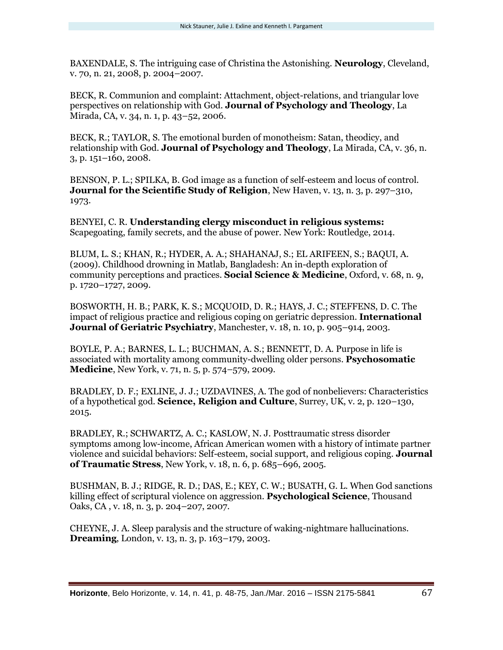BAXENDALE, S. The intriguing case of Christina the Astonishing. **Neurology**, Cleveland, v. 70, n. 21, 2008, p. 2004–2007.

BECK, R. Communion and complaint: Attachment, object-relations, and triangular love perspectives on relationship with God. **Journal of Psychology and Theology**, La Mirada, CA, v. 34, n. 1, p. 43–52, 2006.

BECK, R.; TAYLOR, S. The emotional burden of monotheism: Satan, theodicy, and relationship with God. **Journal of Psychology and Theology**, La Mirada, CA, v. 36, n. 3, p. 151–160, 2008.

BENSON, P. L.; SPILKA, B. God image as a function of self-esteem and locus of control. **Journal for the Scientific Study of Religion**, New Haven, v. 13, n. 3, p. 297–310, 1973.

BENYEI, C. R. **Understanding clergy misconduct in religious systems:** Scapegoating, family secrets, and the abuse of power. New York: Routledge, 2014.

BLUM, L. S.; KHAN, R.; HYDER, A. A.; SHAHANAJ, S.; EL ARIFEEN, S.; BAQUI, A. (2009). Childhood drowning in Matlab, Bangladesh: An in-depth exploration of community perceptions and practices. **Social Science & Medicine**, Oxford, v. 68, n. 9, p. 1720–1727, 2009.

BOSWORTH, H. B.; PARK, K. S.; MCQUOID, D. R.; HAYS, J. C.; STEFFENS, D. C. The impact of religious practice and religious coping on geriatric depression. **International Journal of Geriatric Psychiatry**, Manchester, v. 18, n. 10, p. 905–914, 2003.

BOYLE, P. A.; BARNES, L. L.; BUCHMAN, A. S.; BENNETT, D. A. Purpose in life is associated with mortality among community-dwelling older persons. **Psychosomatic Medicine**, New York, v. 71, n. 5, p. 574–579, 2009.

BRADLEY, D. F.; EXLINE, J. J.; UZDAVINES, A. The god of nonbelievers: Characteristics of a hypothetical god. **Science, Religion and Culture**, Surrey, UK, v. 2, p. 120–130, 2015.

BRADLEY, R.; SCHWARTZ, A. C.; KASLOW, N. J. Posttraumatic stress disorder symptoms among low-income, African American women with a history of intimate partner violence and suicidal behaviors: Self-esteem, social support, and religious coping. **Journal of Traumatic Stress**, New York, v. 18, n. 6, p. 685–696, 2005.

BUSHMAN, B. J.; RIDGE, R. D.; DAS, E.; KEY, C. W.; BUSATH, G. L. When God sanctions killing effect of scriptural violence on aggression. **Psychological Science**, Thousand Oaks, CA , v. 18, n. 3, p. 204–207, 2007.

CHEYNE, J. A. Sleep paralysis and the structure of waking-nightmare hallucinations. **Dreaming**, London, v. 13, n. 3, p. 163–179, 2003.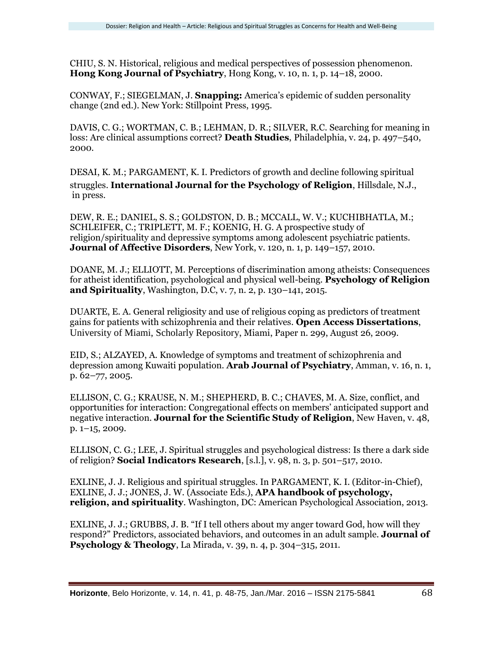CHIU, S. N. Historical, religious and medical perspectives of possession phenomenon. **Hong Kong Journal of Psychiatry**, Hong Kong, v. 10, n. 1, p. 14–18, 2000.

CONWAY, F.; SIEGELMAN, J. **Snapping:** America's epidemic of sudden personality change (2nd ed.). New York: Stillpoint Press, 1995.

DAVIS, C. G.; WORTMAN, C. B.; LEHMAN, D. R.; SILVER, R.C. Searching for meaning in loss: Are clinical assumptions correct? **Death Studies**, Philadelphia, v. 24, p. 497–540, 2000.

DESAI, K. M.; PARGAMENT, K. I. Predictors of growth and decline following spiritual struggles. **International Journal for the Psychology of Religion**, Hillsdale, N.J., in press.

DEW, R. E.; DANIEL, S. S.; GOLDSTON, D. B.; MCCALL, W. V.; KUCHIBHATLA, M.; SCHLEIFER, C.; TRIPLETT, M. F.; KOENIG, H. G. A prospective study of religion/spirituality and depressive symptoms among adolescent psychiatric patients. **Journal of Affective Disorders**, New York, v. 120, n. 1, p. 149–157, 2010.

DOANE, M. J.; ELLIOTT, M. Perceptions of discrimination among atheists: Consequences for atheist identification, psychological and physical well-being. **Psychology of Religion and Spirituality**, Washington, D.C, v. 7, n. 2, p. 130–141, 2015.

DUARTE, E. A. General religiosity and use of religious coping as predictors of treatment gains for patients with schizophrenia and their relatives. **Open Access Dissertations**, University of Miami, Scholarly Repository, Miami, Paper n. 299, August 26, 2009.

EID, S.; ALZAYED, A. Knowledge of symptoms and treatment of schizophrenia and depression among Kuwaiti population. **Arab Journal of Psychiatry**, Amman, v. 16, n. 1, p. 62–77, 2005.

ELLISON, C. G.; KRAUSE, N. M.; SHEPHERD, B. C.; CHAVES, M. A. Size, conflict, and opportunities for interaction: Congregational effects on members' anticipated support and negative interaction. **Journal for the Scientific Study of Religion**, New Haven, v. 48, p. 1–15, 2009.

ELLISON, C. G.; LEE, J. Spiritual struggles and psychological distress: Is there a dark side of religion? **Social Indicators Research**, [s.l.], v. 98, n. 3, p. 501–517, 2010.

EXLINE, J. J. Religious and spiritual struggles. In PARGAMENT, K. I. (Editor-in-Chief), EXLINE, J. J.; JONES, J. W. (Associate Eds.), **APA handbook of psychology, religion, and spirituality**. Washington, DC: American Psychological Association, 2013.

EXLINE, J. J.; GRUBBS, J. B. "If I tell others about my anger toward God, how will they respond?" Predictors, associated behaviors, and outcomes in an adult sample. **Journal of Psychology & Theology**, La Mirada, v. 39, n. 4, p. 304–315, 2011.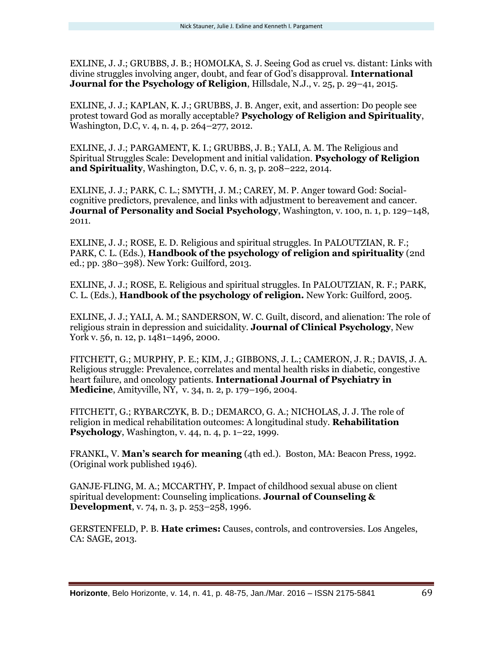EXLINE, J. J.; GRUBBS, J. B.; HOMOLKA, S. J. Seeing God as cruel vs. distant: Links with divine struggles involving anger, doubt, and fear of God's disapproval. **International Journal for the Psychology of Religion**, Hillsdale, N.J., v. 25, p. 29–41, 2015.

EXLINE, J. J.; KAPLAN, K. J.; GRUBBS, J. B. Anger, exit, and assertion: Do people see protest toward God as morally acceptable? **Psychology of Religion and Spirituality**, Washington, D.C, v. 4, n. 4, p. 264–277, 2012.

EXLINE, J. J.; PARGAMENT, K. I.; GRUBBS, J. B.; YALI, A. M. The Religious and Spiritual Struggles Scale: Development and initial validation. **Psychology of Religion and Spirituality**, Washington, D.C, v. 6, n. 3, p. 208–222, 2014.

EXLINE, J. J.; PARK, C. L.; SMYTH, J. M.; CAREY, M. P. Anger toward God: Socialcognitive predictors, prevalence, and links with adjustment to bereavement and cancer. **Journal of Personality and Social Psychology**, Washington, v. 100, n. 1, p. 129–148, 2011.

EXLINE, J. J.; ROSE, E. D. Religious and spiritual struggles. In PALOUTZIAN, R. F.; PARK, C. L. (Eds.), **Handbook of the psychology of religion and spirituality** (2nd ed.; pp. 380–398). New York: Guilford, 2013.

EXLINE, J. J.; ROSE, E. Religious and spiritual struggles. In PALOUTZIAN, R. F.; PARK, C. L. (Eds.), **Handbook of the psychology of religion.** New York: Guilford, 2005.

EXLINE, J. J.; YALI, A. M.; SANDERSON, W. C. Guilt, discord, and alienation: The role of religious strain in depression and suicidality. **Journal of Clinical Psychology**, New York v. 56, n. 12, p. 1481–1496, 2000.

FITCHETT, G.; MURPHY, P. E.; KIM, J.; GIBBONS, J. L.; CAMERON, J. R.; DAVIS, J. A. Religious struggle: Prevalence, correlates and mental health risks in diabetic, congestive heart failure, and oncology patients. **International Journal of Psychiatry in Medicine**, Amityville, NY, v. 34, n. 2, p. 179–196, 2004.

FITCHETT, G.; RYBARCZYK, B. D.; DEMARCO, G. A.; NICHOLAS, J. J. The role of religion in medical rehabilitation outcomes: A longitudinal study. **Rehabilitation Psychology**, Washington, v. 44, n. 4, p. 1–22, 1999.

FRANKL, V. **Man's search for meaning** (4th ed.). Boston, MA: Beacon Press, 1992. (Original work published 1946).

GANJE‐FLING, M. A.; MCCARTHY, P. Impact of childhood sexual abuse on client spiritual development: Counseling implications. **Journal of Counseling & Development**, v. 74, n. 3, p. 253–258, 1996.

GERSTENFELD, P. B. **Hate crimes:** Causes, controls, and controversies. Los Angeles, CA: SAGE, 2013.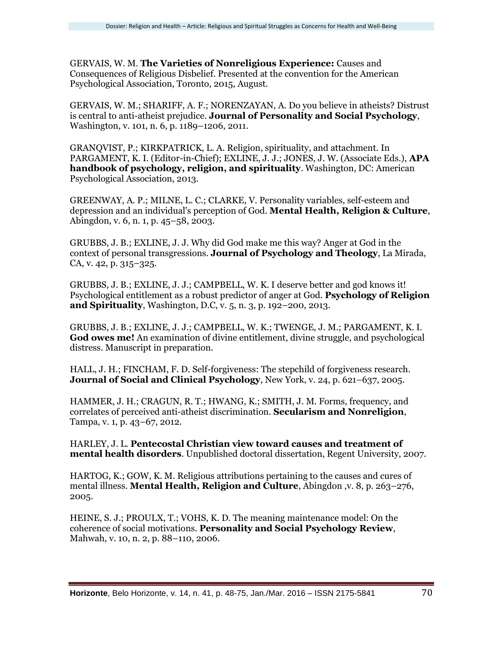GERVAIS, W. M. **The Varieties of Nonreligious Experience:** Causes and Consequences of Religious Disbelief. Presented at the convention for the American Psychological Association, Toronto, 2015, August.

GERVAIS, W. M.; SHARIFF, A. F.; NORENZAYAN, A. Do you believe in atheists? Distrust is central to anti-atheist prejudice. **Journal of Personality and Social Psychology**, Washington, v. 101, n. 6, p. 1189–1206, 2011.

GRANQVIST, P.; KIRKPATRICK, L. A. Religion, spirituality, and attachment. In PARGAMENT, K. I. (Editor-in-Chief); EXLINE, J. J.; JONES, J. W. (Associate Eds.), **APA handbook of psychology, religion, and spirituality**. Washington, DC: American Psychological Association, 2013.

GREENWAY, A. P.; MILNE, L. C.; CLARKE, V. Personality variables, self-esteem and depression and an individual's perception of God. **Mental Health, Religion & Culture**, Abingdon, v. 6, n. 1, p. 45–58, 2003.

GRUBBS, J. B.; EXLINE, J. J. Why did God make me this way? Anger at God in the context of personal transgressions. **Journal of Psychology and Theology**, La Mirada, CA, v. 42, p. 315–325.

GRUBBS, J. B.; EXLINE, J. J.; CAMPBELL, W. K. I deserve better and god knows it! Psychological entitlement as a robust predictor of anger at God. **Psychology of Religion and Spirituality**, Washington, D.C, v. 5, n. 3, p. 192–200, 2013.

GRUBBS, J. B.; EXLINE, J. J.; CAMPBELL, W. K.; TWENGE, J. M.; PARGAMENT, K. I. **God owes me!** An examination of divine entitlement, divine struggle, and psychological distress. Manuscript in preparation.

HALL, J. H.; FINCHAM, F. D. Self-forgiveness: The stepchild of forgiveness research. **Journal of Social and Clinical Psychology**, New York, v. 24, p. 621–637, 2005.

HAMMER, J. H.; CRAGUN, R. T.; HWANG, K.; SMITH, J. M. Forms, frequency, and correlates of perceived anti-atheist discrimination. **Secularism and Nonreligion**, Tampa, v. 1, p. 43–67, 2012.

HARLEY, J. L. **Pentecostal Christian view toward causes and treatment of mental health disorders**. Unpublished doctoral dissertation, Regent University, 2007.

HARTOG, K.; GOW, K. M. Religious attributions pertaining to the causes and cures of mental illness. **Mental Health, Religion and Culture**, Abingdon ,v. 8, p. 263–276, 2005.

HEINE, S. J.; PROULX, T.; VOHS, K. D. The meaning maintenance model: On the coherence of social motivations. **Personality and Social Psychology Review**, Mahwah, v. 10, n. 2, p. 88–110, 2006.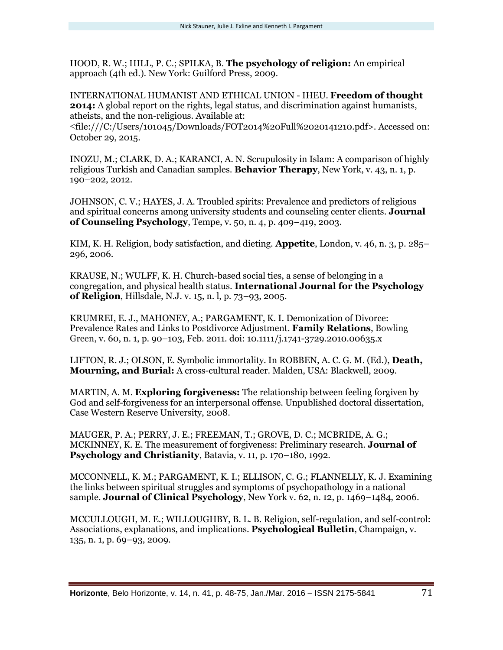HOOD, R. W.; HILL, P. C.; SPILKA, B. **The psychology of religion:** An empirical approach (4th ed.). New York: Guilford Press, 2009.

INTERNATIONAL HUMANIST AND ETHICAL UNION - IHEU. **Freedom of thought 2014:** A global report on the rights, legal status, and discrimination against humanists, atheists, and the non-religious. Available at:

<file:///C:/Users/101045/Downloads/FOT2014%20Full%2020141210.pdf>. Accessed on: October 29, 2015.

INOZU, M.; CLARK, D. A.; KARANCI, A. N. Scrupulosity in Islam: A comparison of highly religious Turkish and Canadian samples. **Behavior Therapy**, New York, v. 43, n. 1, p. 190–202, 2012.

JOHNSON, C. V.; HAYES, J. A. Troubled spirits: Prevalence and predictors of religious and spiritual concerns among university students and counseling center clients. **Journal of Counseling Psychology**, Tempe, v. 50, n. 4, p. 409–419, 2003.

KIM, K. H. Religion, body satisfaction, and dieting. **Appetite**, London, v. 46, n. 3, p. 285– 296, 2006.

KRAUSE, N.; WULFF, K. H. Church-based social ties, a sense of belonging in a congregation, and physical health status. **International Journal for the Psychology of Religion**, Hillsdale, N.J. v. 15, n. l, p. 73–93, 2005.

KRUMREI, E. J., MAHONEY, A.; PARGAMENT, K. I. Demonization of Divorce: Prevalence Rates and Links to Postdivorce Adjustment. **Family Relations**, Bowling Green, v. 60, n. 1, p. 90–103, Feb. 2011. doi: 10.1111/j.1741-3729.2010.00635.x

LIFTON, R. J.; OLSON, E. Symbolic immortality. In ROBBEN, A. C. G. M. (Ed.), **Death, Mourning, and Burial:** A cross-cultural reader. Malden, USA: Blackwell, 2009.

MARTIN, A. M. **Exploring forgiveness:** The relationship between feeling forgiven by God and self-forgiveness for an interpersonal offense. Unpublished doctoral dissertation, Case Western Reserve University, 2008.

MAUGER, P. A.; PERRY, J. E.; FREEMAN, T.; GROVE, D. C.; MCBRIDE, A. G.; MCKINNEY, K. E. The measurement of forgiveness: Preliminary research. **Journal of Psychology and Christianity**, Batavia, v. 11, p. 170–180, 1992.

MCCONNELL, K. M.; PARGAMENT, K. I.; ELLISON, C. G.; FLANNELLY, K. J. Examining the links between spiritual struggles and symptoms of psychopathology in a national sample. **Journal of Clinical Psychology**, New York v. 62, n. 12, p. 1469–1484, 2006.

MCCULLOUGH, M. E.; WILLOUGHBY, B. L. B. Religion, self-regulation, and self-control: Associations, explanations, and implications. **Psychological Bulletin**, Champaign, v. 135, n. 1, p. 69–93, 2009.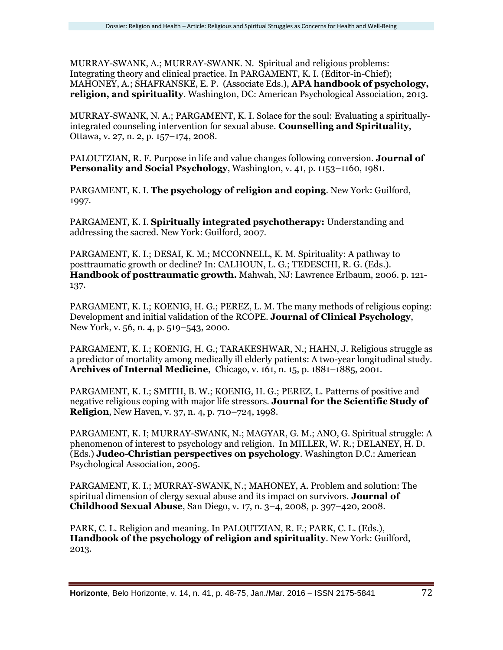MURRAY-SWANK, A.; MURRAY-SWANK. N. Spiritual and religious problems: Integrating theory and clinical practice. In PARGAMENT, K. I. (Editor-in-Chief); MAHONEY, A.; SHAFRANSKE, E. P. (Associate Eds.), **APA handbook of psychology, religion, and spirituality**. Washington, DC: American Psychological Association, 2013.

MURRAY-SWANK, N. A.; PARGAMENT, K. I. Solace for the soul: Evaluating a spirituallyintegrated counseling intervention for sexual abuse. **Counselling and Spirituality**, Ottawa, v. 27, n. 2, p. 157–174, 2008.

PALOUTZIAN, R. F. Purpose in life and value changes following conversion. **Journal of Personality and Social Psychology**, Washington, v. 41, p. 1153–1160, 1981.

PARGAMENT, K. I. **The psychology of religion and coping**. New York: Guilford, 1997.

PARGAMENT, K. I. **Spiritually integrated psychotherapy:** Understanding and addressing the sacred. New York: Guilford, 2007.

PARGAMENT, K. I.; DESAI, K. M.; MCCONNELL, K. M. Spirituality: A pathway to posttraumatic growth or decline? In: CALHOUN, L. G.; TEDESCHI, R. G. (Eds.). **Handbook of posttraumatic growth.** Mahwah, NJ: Lawrence Erlbaum, 2006. p. 121- 137.

PARGAMENT, K. I.; KOENIG, H. G.; PEREZ, L. M. The many methods of religious coping: Development and initial validation of the RCOPE. **Journal of Clinical Psychology**, New York, v. 56, n. 4, p. 519–543, 2000.

PARGAMENT, K. I.; KOENIG, H. G.; TARAKESHWAR, N.; HAHN, J. Religious struggle as a predictor of mortality among medically ill elderly patients: A two-year longitudinal study. **Archives of Internal Medicine**, Chicago, v. 161, n. 15, p. 1881–1885, 2001.

PARGAMENT, K. I.; SMITH, B. W.; KOENIG, H. G.; PEREZ, L. Patterns of positive and negative religious coping with major life stressors. **Journal for the Scientific Study of Religion**, New Haven, v. 37, n. 4, p. 710–724, 1998.

PARGAMENT, K. I; MURRAY-SWANK, N.; MAGYAR, G. M.; ANO, G. Spiritual struggle: A phenomenon of interest to psychology and religion. In MILLER, W. R.; DELANEY, H. D. (Eds.) **Judeo-Christian perspectives on psychology**. Washington D.C.: American Psychological Association, 2005.

PARGAMENT, K. I.; MURRAY-SWANK, N.; MAHONEY, A. Problem and solution: The spiritual dimension of clergy sexual abuse and its impact on survivors. **Journal of Childhood Sexual Abuse**, San Diego, v. 17, n. 3–4, 2008, p. 397–420, 2008.

PARK, C. L. Religion and meaning. In PALOUTZIAN, R. F.; PARK, C. L. (Eds.), **Handbook of the psychology of religion and spirituality**. New York: Guilford, 2013.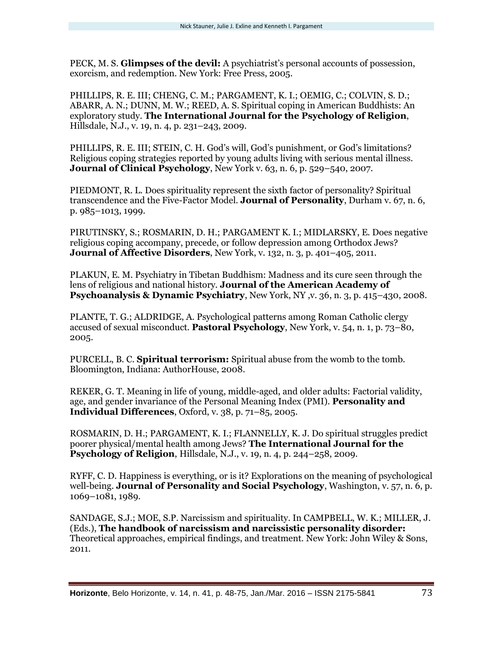PECK, M. S. **Glimpses of the devil:** A psychiatrist's personal accounts of possession, exorcism, and redemption. New York: Free Press, 2005.

PHILLIPS, R. E. III; CHENG, C. M.; PARGAMENT, K. I.; OEMIG, C.; COLVIN, S. D.; ABARR, A. N.; DUNN, M. W.; REED, A. S. Spiritual coping in American Buddhists: An exploratory study. **The International Journal for the Psychology of Religion**, Hillsdale, N.J., v. 19, n. 4, p. 231–243, 2009.

PHILLIPS, R. E. III; STEIN, C. H. God's will, God's punishment, or God's limitations? Religious coping strategies reported by young adults living with serious mental illness. **Journal of Clinical Psychology**, New York v. 63, n. 6, p. 529–540, 2007.

PIEDMONT, R. L. Does spirituality represent the sixth factor of personality? Spiritual transcendence and the Five-Factor Model. **Journal of Personality**, Durham v. 67, n. 6, p. 985–1013, 1999.

PIRUTINSKY, S.; ROSMARIN, D. H.; PARGAMENT K. I.; MIDLARSKY, E. Does negative religious coping accompany, precede, or follow depression among Orthodox Jews? **Journal of Affective Disorders**, New York, v. 132, n. 3, p. 401–405, 2011.

PLAKUN, E. M. Psychiatry in Tibetan Buddhism: Madness and its cure seen through the lens of religious and national history. **Journal of the American Academy of Psychoanalysis & Dynamic Psychiatry**, New York, NY ,v. 36, n. 3, p. 415–430, 2008.

PLANTE, T. G.; ALDRIDGE, A. Psychological patterns among Roman Catholic clergy accused of sexual misconduct. **Pastoral Psychology**, New York, v. 54, n. 1, p. 73–80, 2005.

PURCELL, B. C. **Spiritual terrorism:** Spiritual abuse from the womb to the tomb. Bloomington, Indiana: AuthorHouse, 2008.

REKER, G. T. Meaning in life of young, middle-aged, and older adults: Factorial validity, age, and gender invariance of the Personal Meaning Index (PMI). **Personality and Individual Differences**, Oxford, v. 38, p. 71–85, 2005.

ROSMARIN, D. H.; PARGAMENT, K. I.; FLANNELLY, K. J. Do spiritual struggles predict poorer physical/mental health among Jews? **The International Journal for the Psychology of Religion**, Hillsdale, N.J., v. 19, n. 4, p. 244–258, 2009.

RYFF, C. D. Happiness is everything, or is it? Explorations on the meaning of psychological well-being. **Journal of Personality and Social Psychology**, Washington, v. 57, n. 6, p. 1069–1081, 1989.

SANDAGE, S.J.; MOE, S.P. Narcissism and spirituality. In CAMPBELL, W. K.; MILLER, J. (Eds.), **The handbook of narcissism and narcissistic personality disorder:** Theoretical approaches, empirical findings, and treatment. New York: John Wiley & Sons, 2011.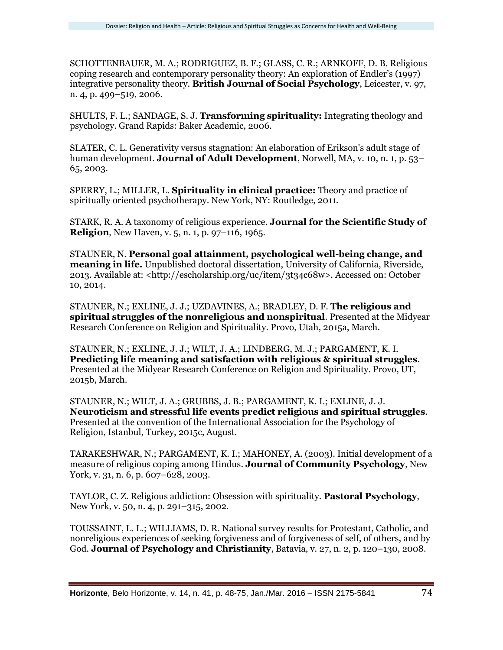SCHOTTENBAUER, M. A.; RODRIGUEZ, B. F.; GLASS, C. R.; ARNKOFF, D. B. Religious coping research and contemporary personality theory: An exploration of Endler's (1997) integrative personality theory. **British Journal of Social Psychology**, Leicester, v. 97, n. 4, p. 499–519, 2006.

SHULTS, F. L.; SANDAGE, S. J. **Transforming spirituality:** Integrating theology and psychology. Grand Rapids: Baker Academic, 2006.

SLATER, C. L. Generativity versus stagnation: An elaboration of Erikson's adult stage of human development. **Journal of Adult Development**, Norwell, MA, v. 10, n. 1, p. 53– 65, 2003.

SPERRY, L.; MILLER, L. **Spirituality in clinical practice:** Theory and practice of spiritually oriented psychotherapy. New York, NY: Routledge, 2011.

STARK, R. A. A taxonomy of religious experience. **Journal for the Scientific Study of Religion**, New Haven, v. 5, n. 1, p. 97–116, 1965.

STAUNER, N. **Personal goal attainment, psychological well-being change, and meaning in life.** Unpublished doctoral dissertation, University of California, Riverside, 2013. Available at: <http://escholarship.org/uc/item/3t34c68w>. Accessed on: October 10, 2014.

STAUNER, N.; EXLINE, J. J.; UZDAVINES, A.; BRADLEY, D. F. **The religious and spiritual struggles of the nonreligious and nonspiritual**. Presented at the Midyear Research Conference on Religion and Spirituality. Provo, Utah, 2015a, March.

STAUNER, N.; EXLINE, J. J.; WILT, J. A.; LINDBERG, M. J.; PARGAMENT, K. I. **Predicting life meaning and satisfaction with religious & spiritual struggles**. Presented at the Midyear Research Conference on Religion and Spirituality. Provo, UT, 2015b, March.

STAUNER, N.; WILT, J. A.; GRUBBS, J. B.; PARGAMENT, K. I.; EXLINE, J. J. **Neuroticism and stressful life events predict religious and spiritual struggles**. Presented at the convention of the International Association for the Psychology of Religion, Istanbul, Turkey, 2015c, August.

TARAKESHWAR, N.; PARGAMENT, K. I.; MAHONEY, A. (2003). Initial development of a measure of religious coping among Hindus. **Journal of Community Psychology**, New York, v. 31, n. 6, p. 607–628, 2003.

TAYLOR, C. Z. Religious addiction: Obsession with spirituality. **Pastoral Psychology**, New York, v. 50, n. 4, p. 291–315, 2002.

TOUSSAINT, L. L.; WILLIAMS, D. R. National survey results for Protestant, Catholic, and nonreligious experiences of seeking forgiveness and of forgiveness of self, of others, and by God. **Journal of Psychology and Christianity**, Batavia, v. 27, n. 2, p. 120–130, 2008.